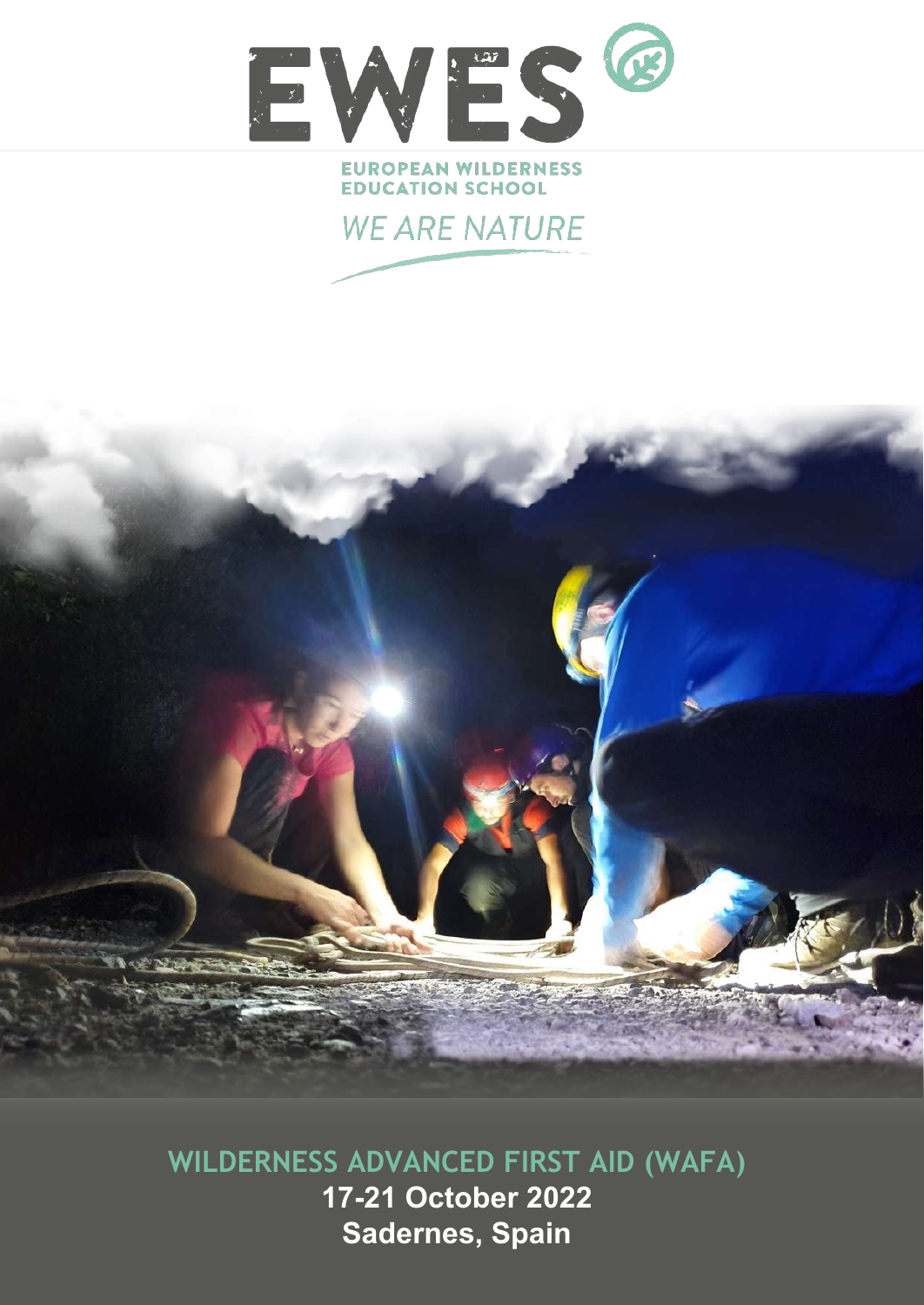

### **EUROPEAN WILDERNESS EDUCATION SCHOOL**





**WILDERNESS ADVANCED FIRST AID (WAFA) 17-21 October 2022 Sadernes, Spain**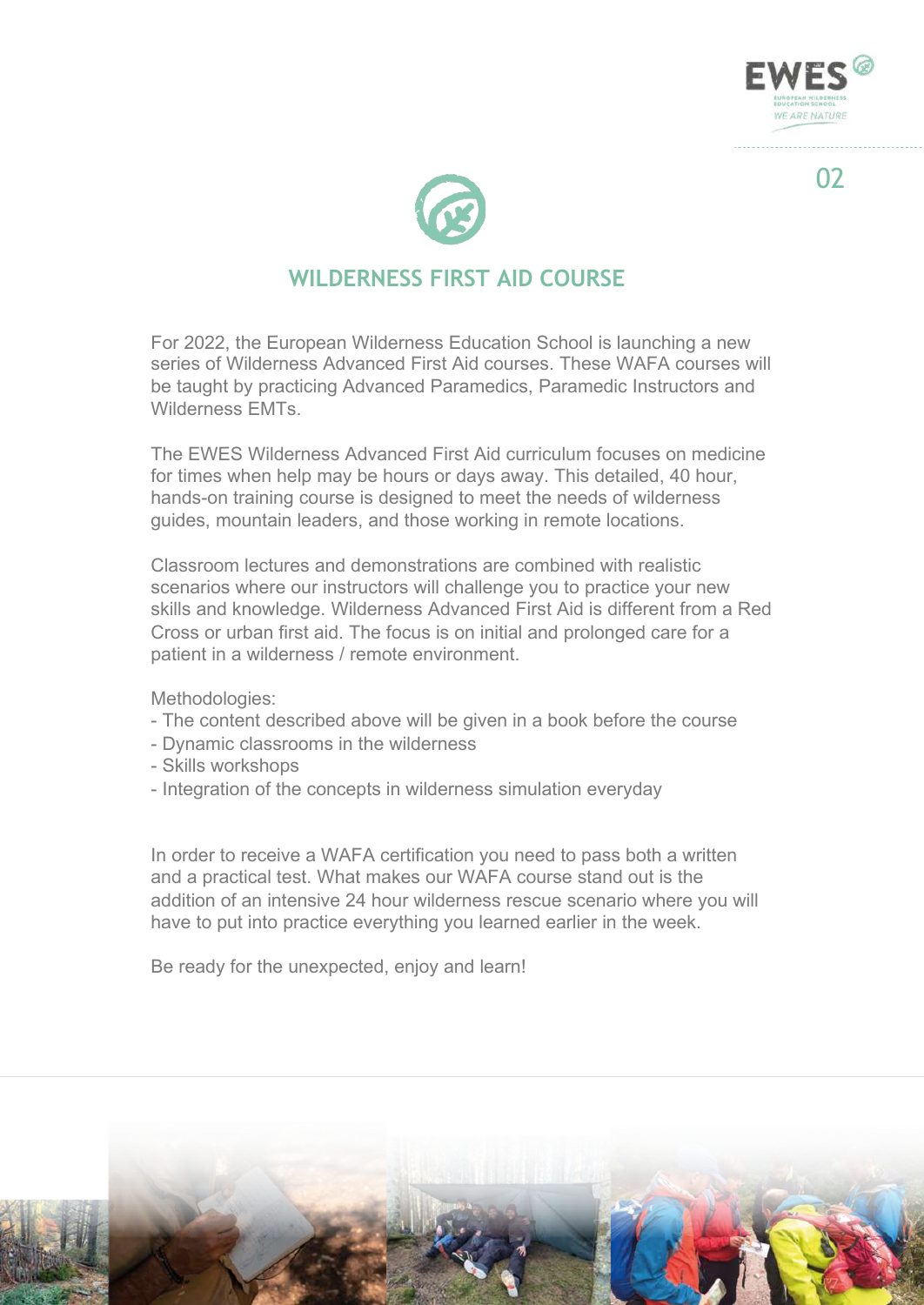



# **WILDERNESS FIRST AID COURSE**

For 2022, the European Wilderness Education School is launching a new series of Wilderness Advanced First Aid courses. These WAFA courses will be taught by practicing Advanced Paramedics, Paramedic Instructors and Wilderness EMTs.

The EWES Wilderness Advanced First Aid curriculum focuses on medicine for times when help may be hours or days away. This detailed, 40 hour, hands-on training course is designed to meet the needs of wilderness guides, mountain leaders, and those working in remote locations.

Classroom lectures and demonstrations are combined with realistic scenarios where our instructors will challenge you to practice your new skills and knowledge. Wilderness Advanced First Aid is different from a Red Cross or urban first aid. The focus is on initial and prolonged care for a patient in a wilderness / remote environment.

Methodologies:

- The content described above will be given in a book before the course
- Dynamic classrooms in the wilderness
- Skills workshops
- Integration of the concepts in wilderness simulation everyday

In order to receive a WAFA certification you need to pass both a written and a practical test. What makes our WAFA course stand out is the addition of an intensive 24 hour wilderness rescue scenario where you will have to put into practice everything you learned earlier in the week.

Be ready for the unexpected, enjoy and learn!

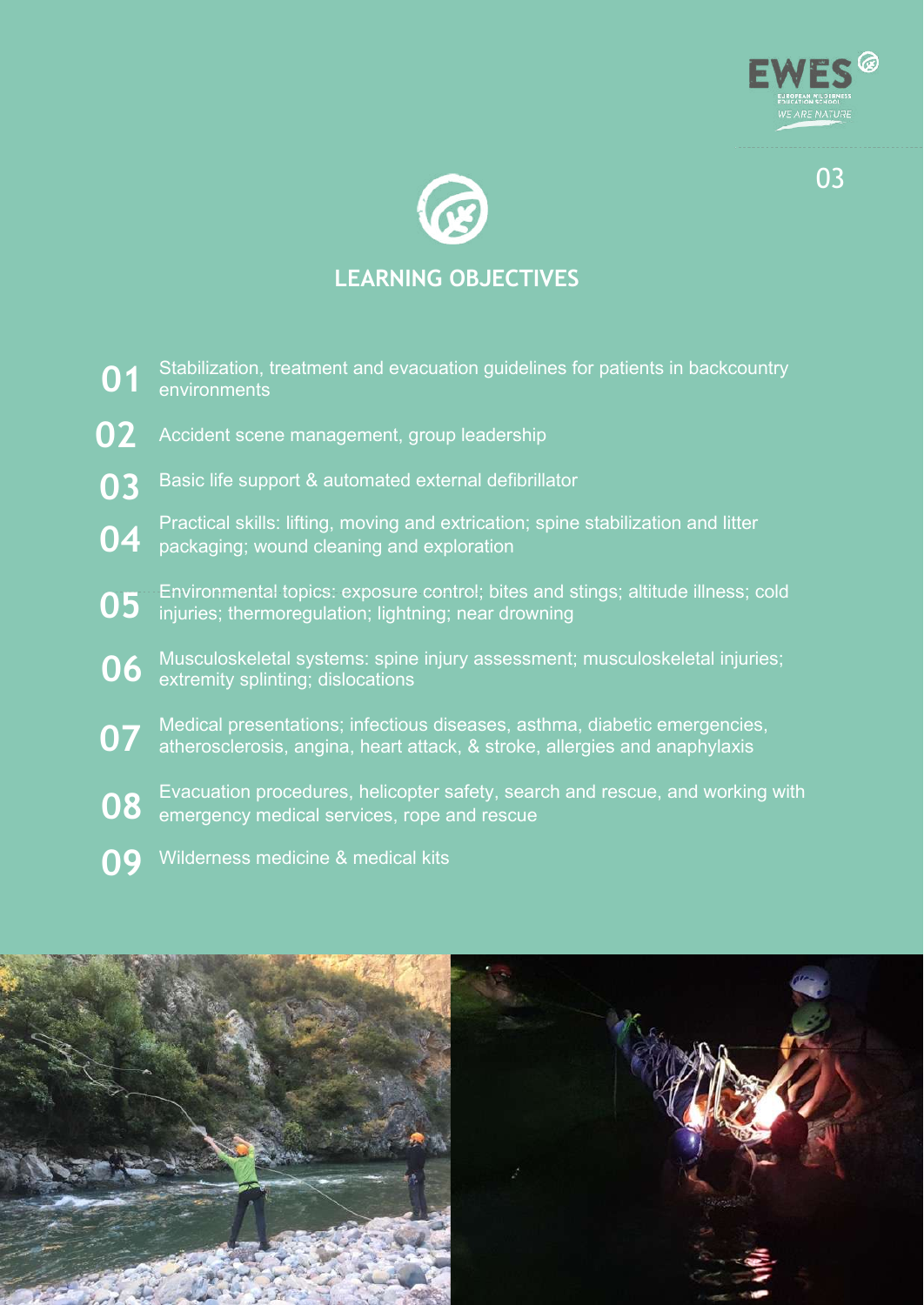



# **LEARNING OBJECTIVES**

- Stabilization, treatment and evacuation guidelines for patients in backcountry environments **01**
- Accident scene management, group leadership **02**
- Basic life support & automated external defibrillator **03**
- Practical skills: lifting, moving and extrication; spine stabilization and litter packaging; wound cleaning and exploration **04**
- Environmental topics: exposure control; bites and stings; altitude illness; cold injuries; thermoregulation; lightning; near drowning **05**
- Musculoskeletal systems: spine injury assessment; musculoskeletal injuries; extremity splinting; dislocations **06**
- Medical presentations; infectious diseases, asthma, diabetic emergencies, atherosclerosis, angina, heart attack, & stroke, allergies and anaphylaxis **07**
- Evacuation procedures, helicopter safety, search and rescue, and working with emergency medical services, rope and rescue **08**
- Wilderness medicine & medical kits **09**

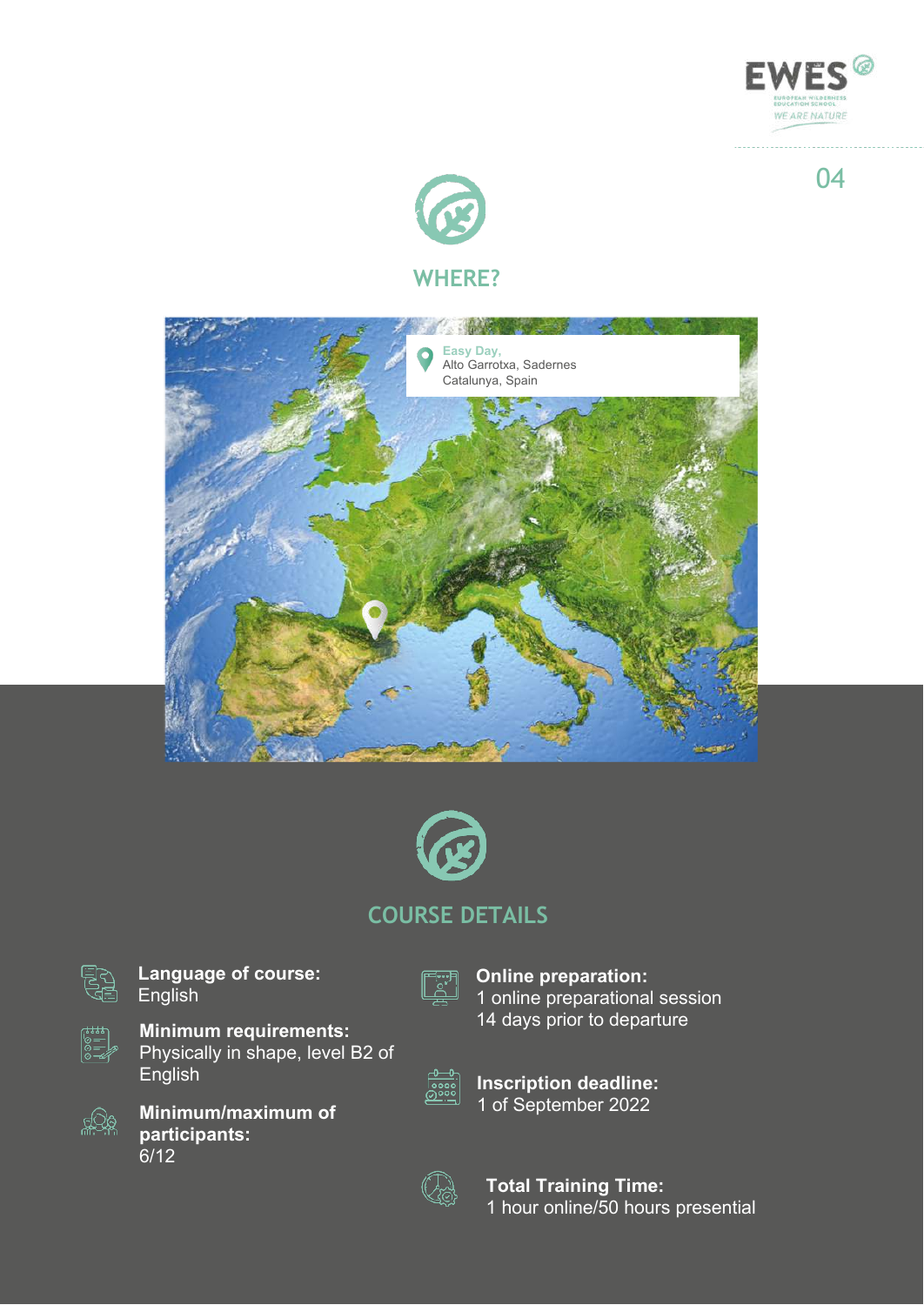



### **WHERE?**





# **COURSE DETAILS**



**Language of course:** English



**Minimum requirements:** Physically in shape, level B2 of English



**Minimum/maximum of participants:** 6/12

**Online preparation:** 1 online preparational session 14 days prior to departure



**Inscription deadline:** 1 of September 2022



**Total Training Time:** 1 hour online/50 hours presential 04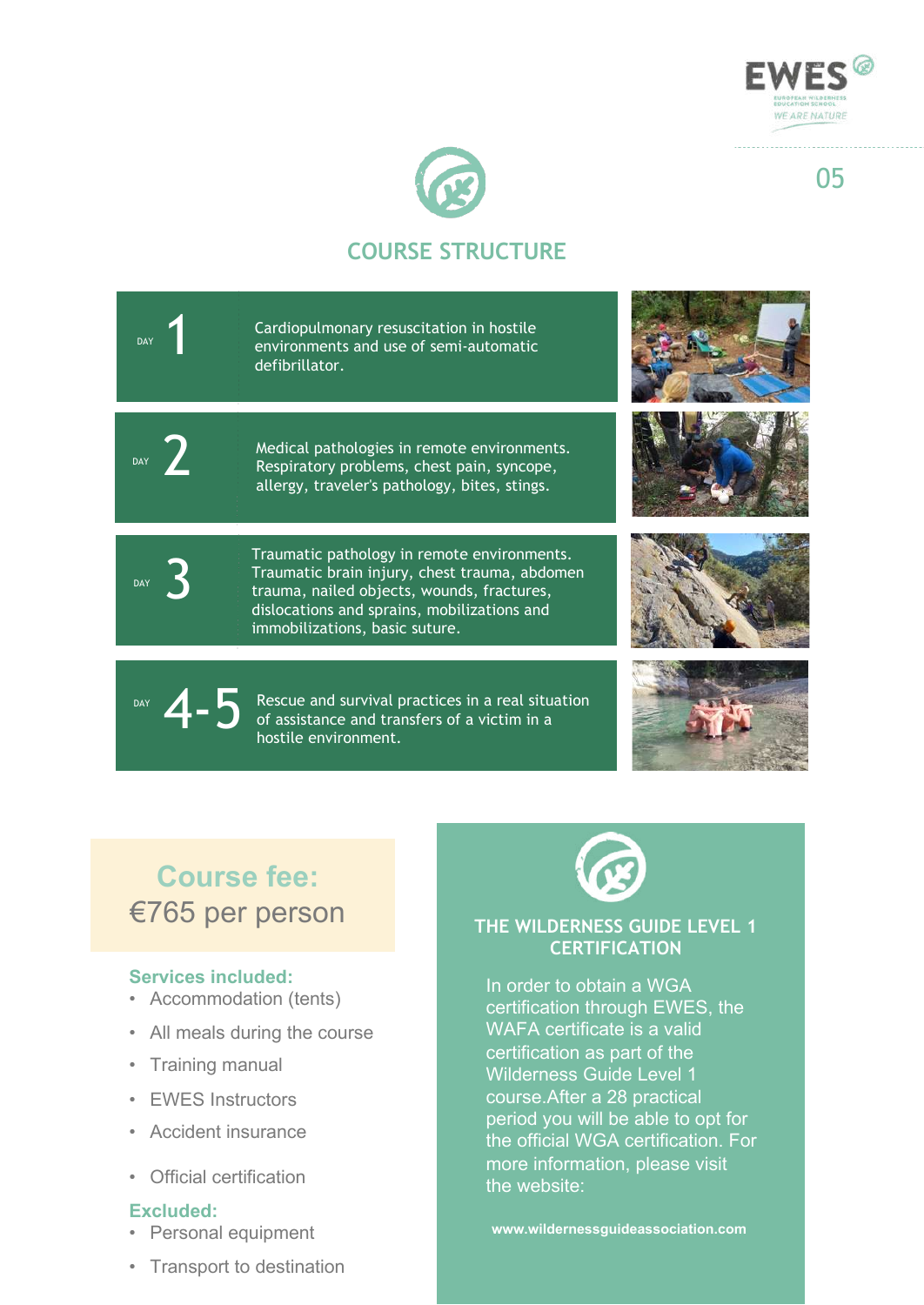

05



# **COURSE STRUCTURE**

Cardiopulmonary resuscitation in hostile environments and use of semi-automatic defibrillator. DAY 2 3 DAY Medical pathologies in remote environments. Respiratory problems, chest pain, syncope, allergy, traveler's pathology, bites, stings. Traumatic pathology in remote environments. Traumatic brain injury, chest trauma, abdomen trauma, nailed objects, wounds, fractures, dislocations and sprains, mobilizations and immobilizations, basic suture.

> Rescue and survival practices in a real situation of assistance and transfers of a victim in a hostile environment.



# **Course fee:** €765 per person

### **Services included:**

4-5

DAY

DAY

- Accommodation (tents)
- All meals during the course
- Training manual
- EWES Instructors
- Accident insurance
- Official certification

### **Excluded:**

- Personal equipment
- Transport to destination



### **THE WILDERNESS GUIDE LEVEL 1 CERTIFICATION**

In order to obtain a WGA certification through EWES, the WAFA certificate is a valid certification as part of the Wilderness Guide Level 1 course.After a 28 practical period you will be able to opt for the official WGA certification. For more information, please visit the website:

**www.wildernessguideassociation.com**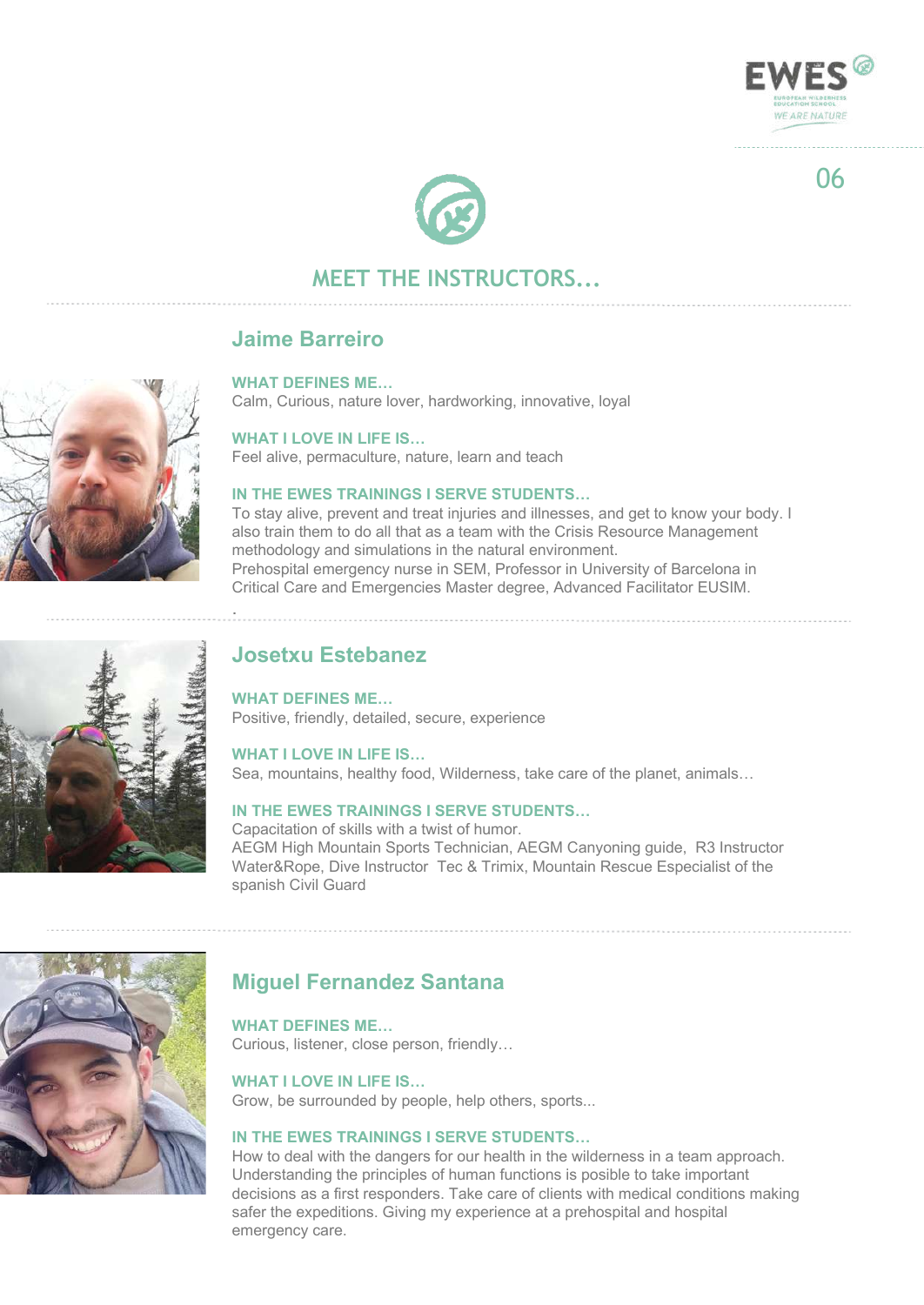

# **MEET THE INSTRUCTORS...**

### **Jaime Barreiro**

#### **WHAT DEFINES ME…**

Calm, Curious, nature lover, hardworking, innovative, loyal

#### **WHAT I LOVE IN LIFE IS…**

Feel alive, permaculture, nature, learn and teach

#### **IN THE EWES TRAININGS I SERVE STUDENTS…**

To stay alive, prevent and treat injuries and illnesses, and get to know your body. I also train them to do all that as a team with the Crisis Resource Management methodology and simulations in the natural environment. Prehospital emergency nurse in SEM, Professor in University of Barcelona in Critical Care and Emergencies Master degree, Advanced Facilitator EUSIM.

### **Josetxu Estebanez**

.

**WHAT DEFINES ME…** Positive, friendly, detailed, secure, experience

**WHAT I LOVE IN LIFE IS…** Sea, mountains, healthy food, Wilderness, take care of the planet, animals…

### **IN THE EWES TRAININGS I SERVE STUDENTS…**

Capacitation of skills with a twist of humor. AEGM High Mountain Sports Technician, AEGM Canyoning guide, R3 Instructor Water&Rope, Dive Instructor Tec & Trimix, Mountain Rescue Especialist of the spanish Civil Guard

# **Miguel Fernandez Santana**

**WHAT DEFINES ME…**

Curious, listener, close person, friendly…

### **WHAT I LOVE IN LIFE IS…**

Grow, be surrounded by people, help others, sports...

### **IN THE EWES TRAININGS I SERVE STUDENTS…**

How to deal with the dangers for our health in the wilderness in a team approach. Understanding the principles of human functions is posible to take important decisions as a first responders. Take care of clients with medical conditions making safer the expeditions. Giving my experience at a prehospital and hospital emergency care.







06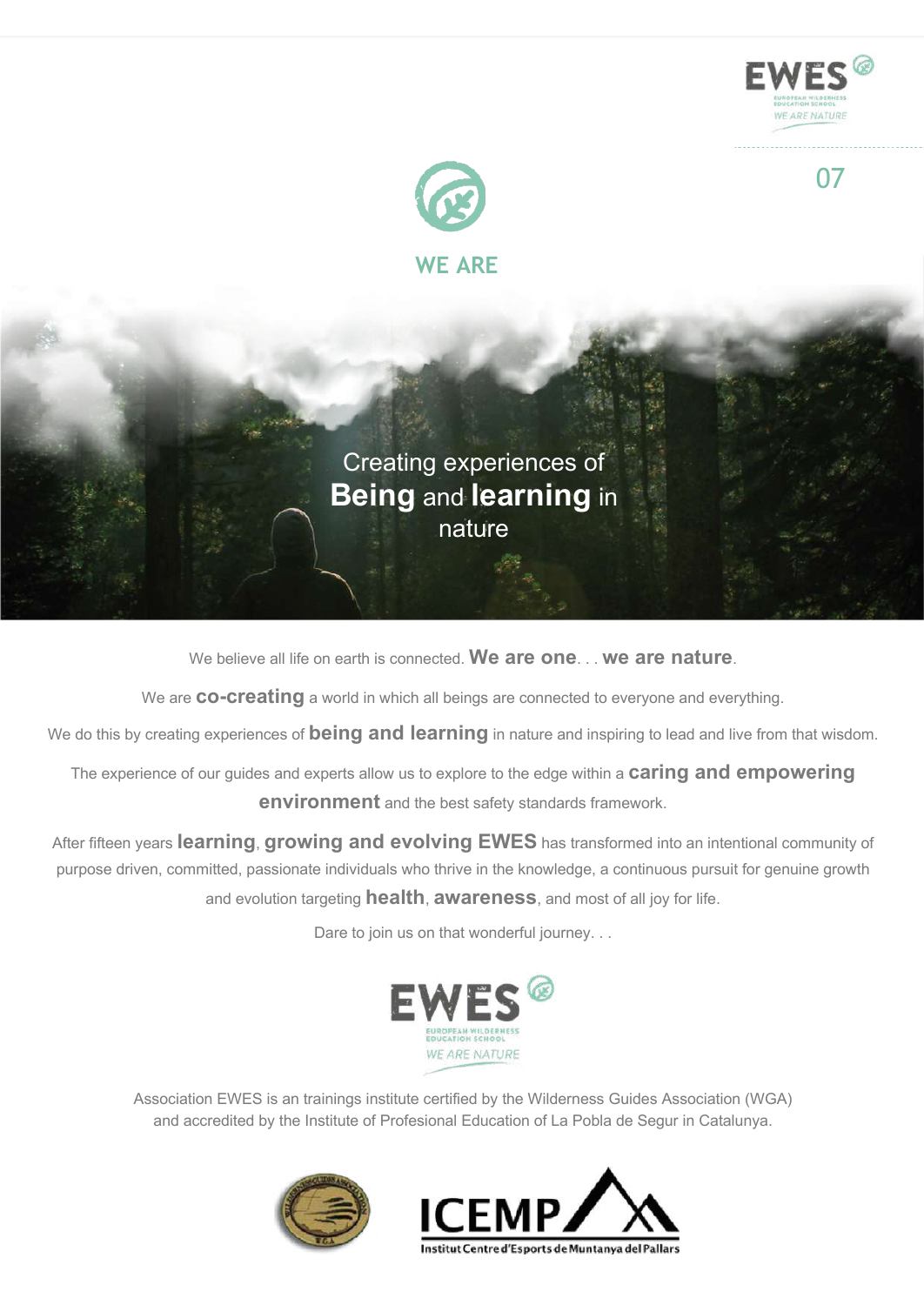



Creating experiences of **Being** and **learning** in nature

We believe all life on earth is connected. **We are one**. . . **we are nature**.

We are **co-creating** a world in which all beings are connected to everyone and everything.

We do this by creating experiences of **being and learning** in nature and inspiring to lead and live from that wisdom.

The experience of our guides and experts allow us to explore to the edge within a **caring and empowering environment** and the best safety standards framework.

After fifteen years **learning**, **growing and evolving EWES** has transformed into an intentional community of purpose driven, committed, passionate individuals who thrive in the knowledge, a continuous pursuit for genuine growth and evolution targeting **health**, **awareness**, and most of all joy for life.

Dare to join us on that wonderful journey. . .



Association EWES is an trainings institute certified by the Wilderness Guides Association (WGA) and accredited by the Institute of Profesional Education of La Pobla de Segur in Catalunya.